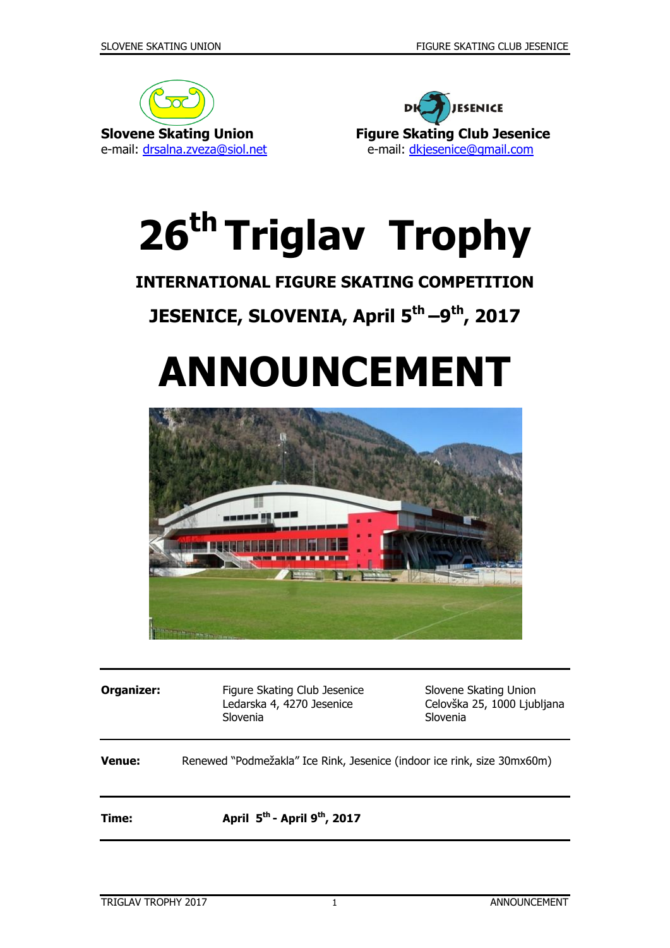



# **26 th Triglav Trophy**

## **INTERNATIONAL FIGURE SKATING COMPETITION**

## **JESENICE, SLOVENIA, April 5 th –9 th, 2017**

## **ANNOUNCEMENT**



**Organizer:** Figure Skating Club Jesenice Slovene Skating Union Ledarska 4, 4270 Jesenice Celovška 25, 1000 Ljubljana Slovenia Slovenia **Venue:** Renewed "Podmežakla" Ice Rink, Jesenice (indoor ice rink, size 30mx60m) **Time: April 5 th - April 9 th, 2017**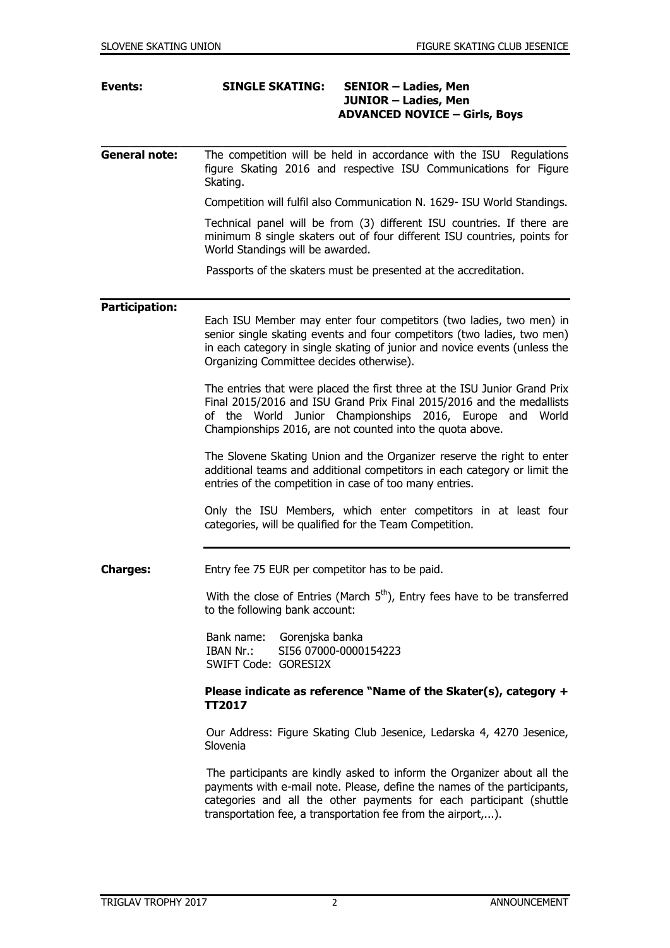#### **Events: SINGLE SKATING: SENIOR – Ladies, Men JUNIOR – Ladies, Men ADVANCED NOVICE – Girls, Boys**

**General note:** The competition will be held in accordance with the ISU Regulations figure Skating 2016 and respective ISU Communications for Figure Skating.

**\_\_\_\_\_\_\_\_\_\_\_\_\_\_\_\_\_\_\_\_\_\_\_\_\_\_\_\_\_\_\_\_\_\_\_\_\_\_\_\_\_\_\_\_\_\_\_\_\_\_\_\_\_\_\_\_\_\_\_\_\_\_\_\_\_**

Competition will fulfil also Communication N. 1629- ISU World Standings.

Technical panel will be from (3) different ISU countries. If there are minimum 8 single skaters out of four different ISU countries, points for World Standings will be awarded.

Passports of the skaters must be presented at the accreditation.

#### **Participation:**

Each ISU Member may enter four competitors (two ladies, two men) in senior single skating events and four competitors (two ladies, two men) in each category in single skating of junior and novice events (unless the Organizing Committee decides otherwise).

The entries that were placed the first three at the ISU Junior Grand Prix Final 2015/2016 and ISU Grand Prix Final 2015/2016 and the medallists of the World Junior Championships 2016, Europe and World Championships 2016, are not counted into the quota above.

The Slovene Skating Union and the Organizer reserve the right to enter additional teams and additional competitors in each category or limit the entries of the competition in case of too many entries.

Only the ISU Members, which enter competitors in at least four categories, will be qualified for the Team Competition.

**Charges:** Entry fee 75 EUR per competitor has to be paid.

With the close of Entries (March  $5<sup>th</sup>$ ), Entry fees have to be transferred to the following bank account:

> Bank name: Gorenjska banka IBAN Nr.: SI56 07000-0000154223 SWIFT Code: GORESI2X

#### **Please indicate as reference "Name of the Skater(s), category + TT2017**

 Our Address: Figure Skating Club Jesenice, Ledarska 4, 4270 Jesenice, Slovenia

 The participants are kindly asked to inform the Organizer about all the payments with e-mail note. Please, define the names of the participants, categories and all the other payments for each participant (shuttle transportation fee, a transportation fee from the airport,...).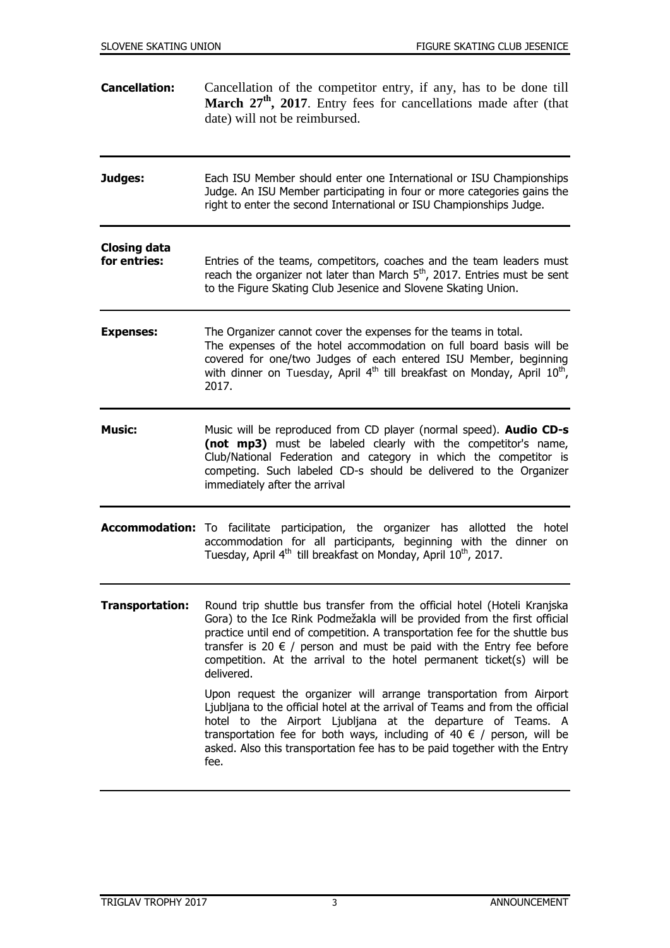**Cancellation:** Cancellation of the competitor entry, if any, has to be done till **March 27th, 2017**. Entry fees for cancellations made after (that date) will not be reimbursed. **Judges:** Each ISU Member should enter one International or ISU Championships Judge. An ISU Member participating in four or more categories gains the right to enter the second International or ISU Championships Judge. **Closing data for entries:** Entries of the teams, competitors, coaches and the team leaders must reach the organizer not later than March  $5<sup>th</sup>$ , 2017. Entries must be sent to the Figure Skating Club Jesenice and Slovene Skating Union. **Expenses:** The Organizer cannot cover the expenses for the teams in total. The expenses of the hotel accommodation on full board basis will be covered for one/two Judges of each entered ISU Member, beginning with dinner on Tuesday, April 4<sup>th</sup> till breakfast on Monday, April  $10^{th}$ , 2017. **Music:** Music will be reproduced from CD player (normal speed). **Audio CD-s (not mp3)** must be labeled clearly with the competitor's name, Club/National Federation and category in which the competitor is competing. Such labeled CD-s should be delivered to the Organizer immediately after the arrival **Accommodation:** To facilitate participation, the organizer has allotted the hotel accommodation for all participants, beginning with the dinner on Tuesday, April 4<sup>th</sup> till breakfast on Monday, April 10<sup>th</sup>, 2017. **Transportation:** Round trip shuttle bus transfer from the official hotel (Hoteli Kranjska Gora) to the Ice Rink Podmežakla will be provided from the first official practice until end of competition. A transportation fee for the shuttle bus transfer is 20  $\epsilon$  / person and must be paid with the Entry fee before competition. At the arrival to the hotel permanent ticket(s) will be delivered. Upon request the organizer will arrange transportation from Airport Ljubljana to the official hotel at the arrival of Teams and from the official hotel to the Airport Ljubljana at the departure of Teams. A transportation fee for both ways, including of 40  $\epsilon$  / person, will be asked. Also this transportation fee has to be paid together with the Entry fee.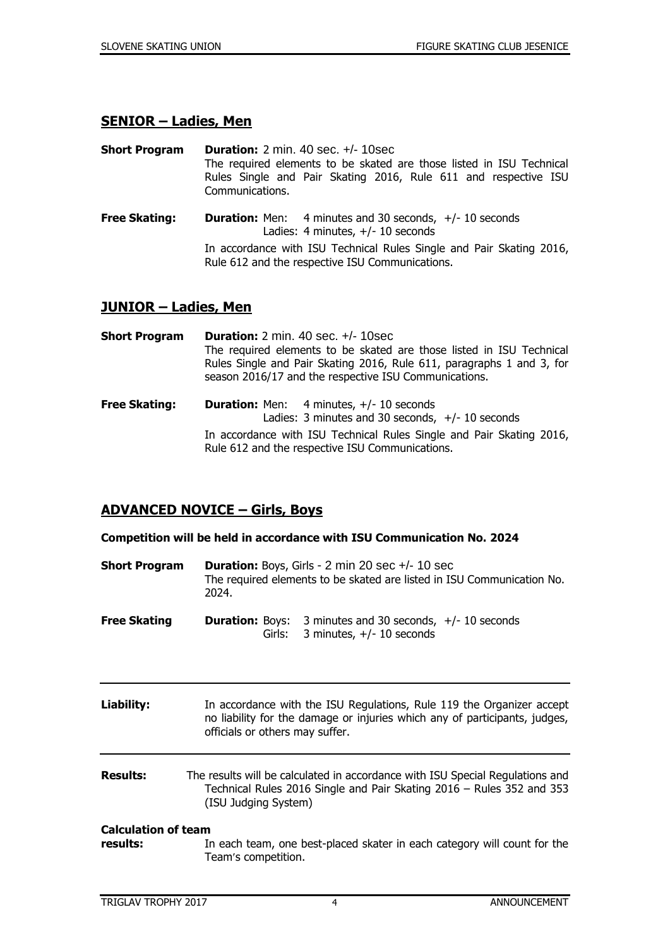#### **SENIOR – Ladies, Men**

**Short Program Duration:** 2 min. 40 sec. +/- 10sec The required elements to be skated are those listed in ISU Technical Rules Single and Pair Skating 2016, Rule 611 and respective ISU Communications.

**Free Skating: Duration:** Men: 4 minutes and 30 seconds, +/- 10 seconds Ladies: 4 minutes, +/- 10 seconds In accordance with ISU Technical Rules Single and Pair Skating 2016, Rule 612 and the respective ISU Communications.

#### **JUNIOR – Ladies, Men**

| <b>Short Program</b> | <b>Duration:</b> 2 min. 40 sec. $+/-$ 10 sec.<br>The required elements to be skated are those listed in ISU Technical<br>Rules Single and Pair Skating 2016, Rule 611, paragraphs 1 and 3, for<br>season 2016/17 and the respective ISU Communications. |  |
|----------------------|---------------------------------------------------------------------------------------------------------------------------------------------------------------------------------------------------------------------------------------------------------|--|
| <b>Free Skating:</b> | <b>Duration:</b> Men: $4$ minutes, $+/- 10$ seconds<br>Ladies: 3 minutes and 30 seconds, $+/- 10$ seconds                                                                                                                                               |  |
|                      | In accordance with ISU Technical Rules Single and Pair Skating 2016,<br>Rule 612 and the respective ISU Communications.                                                                                                                                 |  |

#### **ADVANCED NOVICE – Girls, Boys**

#### **Competition will be held in accordance with ISU Communication No. 2024**

- **Short Program Duration:** Boys, Girls 2 min 20 sec +/- 10 sec The required elements to be skated are listed in ISU Communication No. 2024.
- **Free Skating Duration:** Boys: 3 minutes and 30 seconds, +/- 10 seconds Girls: 3 minutes, +/- 10 seconds
- **Liability:** In accordance with the ISU Regulations, Rule 119 the Organizer accept no liability for the damage or injuries which any of participants, judges, officials or others may suffer.
- **Results:** The results will be calculated in accordance with ISU Special Regulations and Technical Rules 2016 Single and Pair Skating 2016 – Rules 352 and 353 (ISU Judging System)

#### **Calculation of team results:** In each team, one best-placed skater in each category will count for the Team's competition.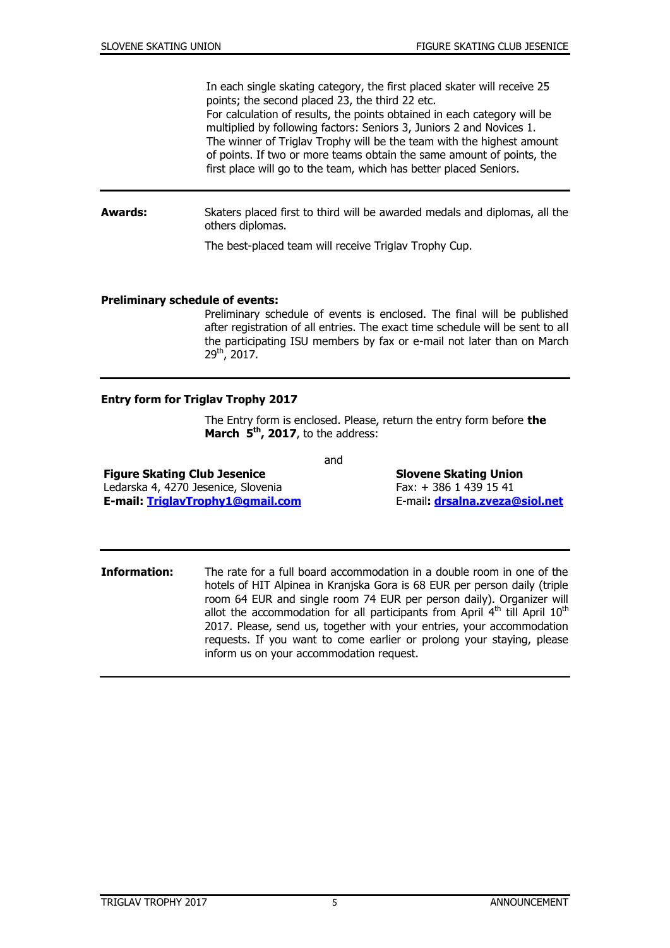In each single skating category, the first placed skater will receive 25 points; the second placed 23, the third 22 etc.

For calculation of results, the points obtained in each category will be multiplied by following factors: Seniors 3, Juniors 2 and Novices 1. The winner of Triglav Trophy will be the team with the highest amount of points. If two or more teams obtain the same amount of points, the first place will go to the team, which has better placed Seniors.

**Awards:** Skaters placed first to third will be awarded medals and diplomas, all the others diplomas.

The best-placed team will receive Triglav Trophy Cup.

#### **Preliminary schedule of events:**

Preliminary schedule of events is enclosed. The final will be published after registration of all entries. The exact time schedule will be sent to all the participating ISU members by fax or e-mail not later than on March 29th, 2017.

#### **Entry form for Triglav Trophy 2017**

The Entry form is enclosed. Please, return the entry form before **the March 5 th , 2017**, to the address:

and

**Figure Skating Club Jesenice Slovene Skating Union** Ledarska 4, 4270 Jesenice, Slovenia Fax: + 386 1 439 15 41 **E-mail: [TriglavTrophy1@gmail.com](mailto:TriglavTrophy1@gmail.com)** E-mail**: [drsalna.zveza@siol.net](mailto:drsalna.zveza@siol.net)**

**Information:** The rate for a full board accommodation in a double room in one of the hotels of HIT Alpinea in Kranjska Gora is 68 EUR per person daily (triple room 64 EUR and single room 74 EUR per person daily). Organizer will allot the accommodation for all participants from April 4<sup>th</sup> till April 10<sup>th</sup> 2017. Please, send us, together with your entries, your accommodation requests. If you want to come earlier or prolong your staying, please inform us on your accommodation request.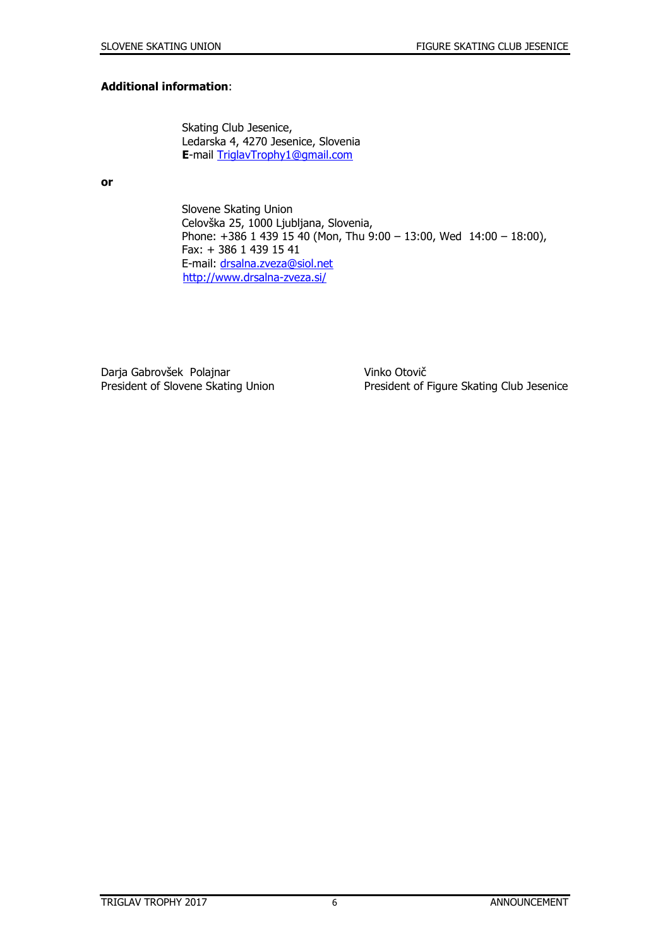#### **Additional information**:

Skating Club Jesenice, Ledarska 4, 4270 Jesenice, Slovenia **E**-mail [TriglavTrophy1@gmail.com](mailto:TriglavTrophy1@gmail.com)

**or**

 Slovene Skating Union Celovška 25, 1000 Ljubljana, Slovenia, Phone: +386 1 439 15 40 (Mon, Thu 9:00 – 13:00, Wed 14:00 – 18:00), Fax: + 386 1 439 15 41 E-mail: [drsalna.zveza@siol.net](mailto:drsalna.zveza@siol.net) <http://www.drsalna-zveza.si/>

Darja Gabrovšek Polajnar Vinko Otovič

President of Slovene Skating Union President of Figure Skating Club Jesenice